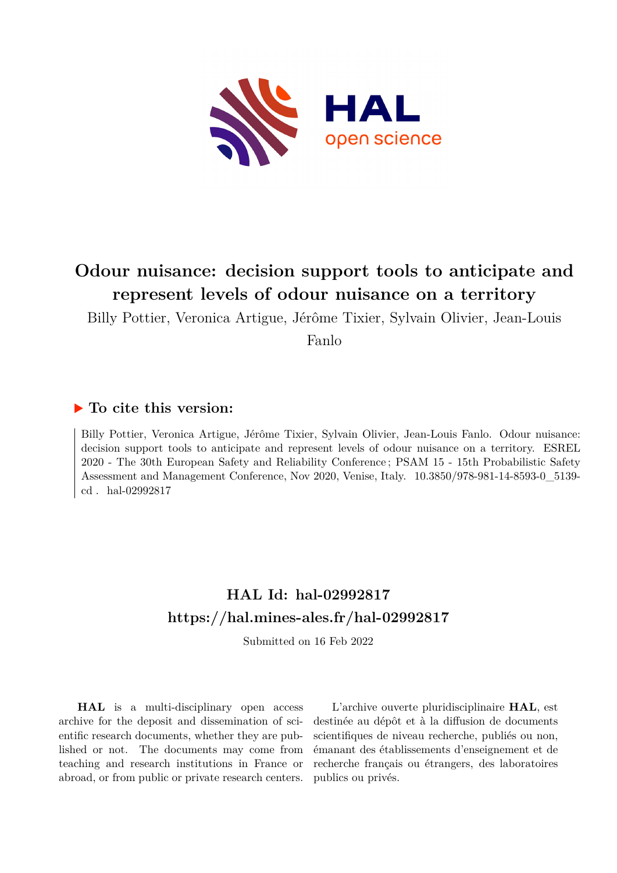

# **Odour nuisance: decision support tools to anticipate and represent levels of odour nuisance on a territory**

Billy Pottier, Veronica Artigue, Jérôme Tixier, Sylvain Olivier, Jean-Louis

Fanlo

### **To cite this version:**

Billy Pottier, Veronica Artigue, Jérôme Tixier, Sylvain Olivier, Jean-Louis Fanlo. Odour nuisance: decision support tools to anticipate and represent levels of odour nuisance on a territory. ESREL 2020 - The 30th European Safety and Reliability Conference ; PSAM 15 - 15th Probabilistic Safety Assessment and Management Conference, Nov 2020, Venise, Italy.  $10.3850/978-981-14-8593-0\_5139-0$ cd. hal-02992817

## **HAL Id: hal-02992817 <https://hal.mines-ales.fr/hal-02992817>**

Submitted on 16 Feb 2022

**HAL** is a multi-disciplinary open access archive for the deposit and dissemination of scientific research documents, whether they are published or not. The documents may come from teaching and research institutions in France or abroad, or from public or private research centers.

L'archive ouverte pluridisciplinaire **HAL**, est destinée au dépôt et à la diffusion de documents scientifiques de niveau recherche, publiés ou non, émanant des établissements d'enseignement et de recherche français ou étrangers, des laboratoires publics ou privés.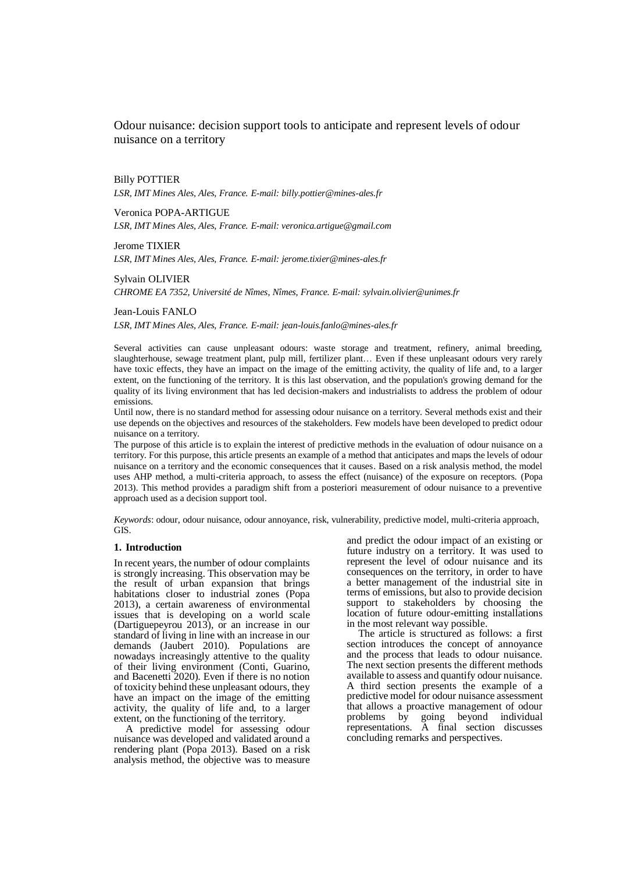Odour nuisance: decision support tools to anticipate and represent levels of odour nuisance on a territory

Billy POTTIER *LSR, IMT Mines Ales, Ales, France. E-mail: billy.pottier@mines-ales.fr*

Veronica POPA-ARTIGUE *LSR, IMT Mines Ales, Ales, France. E-mail: veronica.artigue@gmail.com*

Jerome TIXIER *LSR, IMT Mines Ales, Ales, France. E-mail: jerome.tixier@mines-ales.fr*

Sylvain OLIVIER *CHROME EA 7352, Université de Nîmes*, *Nîmes, France. E-mail: sylvain.olivier@unimes.fr*

Jean-Louis FANLO *LSR, IMT Mines Ales, Ales, France. E-mail: jean-louis.fanlo@mines-ales.fr*

Several activities can cause unpleasant odours: waste storage and treatment, refinery, animal breeding, slaughterhouse, sewage treatment plant, pulp mill, fertilizer plant… Even if these unpleasant odours very rarely have toxic effects, they have an impact on the image of the emitting activity, the quality of life and, to a larger extent, on the functioning of the territory. It is this last observation, and the population's growing demand for the quality of its living environment that has led decision-makers and industrialists to address the problem of odour emissions.

Until now, there is no standard method for assessing odour nuisance on a territory. Several methods exist and their use depends on the objectives and resources of the stakeholders. Few models have been developed to predict odour nuisance on a territory.

The purpose of this article is to explain the interest of predictive methods in the evaluation of odour nuisance on a territory. For this purpose, this article presents an example of a method that anticipates and maps the levels of odour nuisance on a territory and the economic consequences that it causes. Based on a risk analysis method, the model uses AHP method, a multi-criteria approach, to assess the effect (nuisance) of the exposure on receptors. (Popa 2013). This method provides a paradigm shift from a posteriori measurement of odour nuisance to a preventive approach used as a decision support tool.

*Keywords*: odour, odour nuisance, odour annoyance, risk, vulnerability, predictive model, multi-criteria approach, GIS.

#### **1. Introduction**

In recent years, the number of odour complaints is strongly increasing. This observation may be the result of urban expansion that brings habitations closer to industrial zones (Popa 2013), a certain awareness of environmental issues that is developing on a world scale (Dartiguepeyrou 2013), or an increase in our standard of living in line with an increase in our demands (Jaubert 2010). Populations are nowadays increasingly attentive to the quality of their living environment (Conti, Guarino, and Bacenetti 2020). Even if there is no notion of toxicity behind these unpleasant odours, they have an impact on the image of the emitting activity, the quality of life and, to a larger extent, on the functioning of the territory.

A predictive model for assessing odour nuisance was developed and validated around a rendering plant (Popa 2013). Based on a risk analysis method, the objective was to measure

and predict the odour impact of an existing or future industry on a territory. It was used to represent the level of odour nuisance and its consequences on the territory, in order to have a better management of the industrial site in terms of emissions, but also to provide decision support to stakeholders by choosing the location of future odour-emitting installations in the most relevant way possible.

The article is structured as follows: a first section introduces the concept of annoyance and the process that leads to odour nuisance. The next section presents the different methods available to assess and quantify odour nuisance. A third section presents the example of a predictive model for odour nuisance assessment that allows a proactive management of odour problems by going beyond individual representations. A final section discusses concluding remarks and perspectives.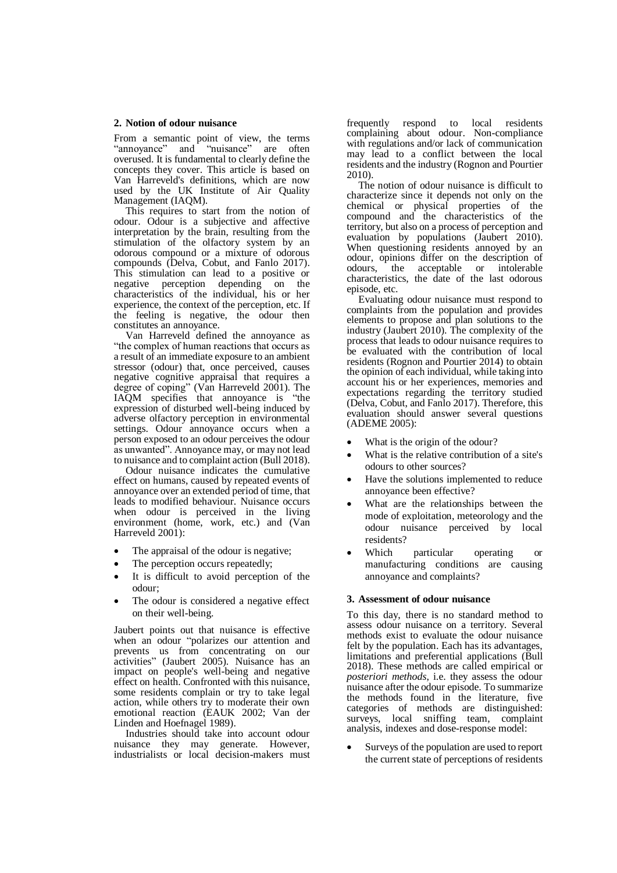#### **2. Notion of odour nuisance**

From a semantic point of view, the terms "annoyance" and "nuisance" are often overused. It is fundamental to clearly define the concepts they cover. This article is based on Van Harreveld's definitions, which are now used by the UK Institute of Air Quality Management (IAQM).

This requires to start from the notion of odour. Odour is a subjective and affective interpretation by the brain, resulting from the stimulation of the olfactory system by an odorous compound or a mixture of odorous compounds (Delva, Cobut, and Fanlo 2017). This stimulation can lead to a positive or negative perception depending on the characteristics of the individual, his or her experience, the context of the perception, etc. If the feeling is negative, the odour then constitutes an annoyance.

Van Harreveld defined the annoyance as "the complex of human reactions that occurs as a result of an immediate exposure to an ambient stressor (odour) that, once perceived, causes negative cognitive appraisal that requires a degree of coping" (Van Harreveld 2001). The IAQM specifies that annoyance is "the expression of disturbed well-being induced by adverse olfactory perception in environmental settings. Odour annoyance occurs when a person exposed to an odour perceives the odour as unwanted". Annoyance may, or may not lead to nuisance and to complaint action (Bull 2018).

Odour nuisance indicates the cumulative effect on humans, caused by repeated events of annoyance over an extended period of time, that leads to modified behaviour. Nuisance occurs when odour is perceived in the living environment (home, work, etc.) and (Van Harreveld 2001):

- The appraisal of the odour is negative;
- The perception occurs repeatedly;
- It is difficult to avoid perception of the odour;
- The odour is considered a negative effect on their well-being.

Jaubert points out that nuisance is effective when an odour "polarizes our attention and prevents us from concentrating on our activities" (Jaubert 2005). Nuisance has an impact on people's well-being and negative effect on health. Confronted with this nuisance, some residents complain or try to take legal action, while others try to moderate their own emotional reaction (EAUK 2002; Van der Linden and Hoefnagel 1989).

Industries should take into account odour nuisance they may generate. However, industrialists or local decision-makers must

frequently respond to local residents complaining about odour. Non-compliance with regulations and/or lack of communication may lead to a conflict between the local residents and the industry (Rognon and Pourtier 2010).

The notion of odour nuisance is difficult to characterize since it depends not only on the chemical or physical properties of the compound and the characteristics of the territory, but also on a process of perception and evaluation by populations (Jaubert 2010). When questioning residents annoyed by an odour, opinions differ on the description of odours, the acceptable or intolerable characteristics, the date of the last odorous episode, etc.

Evaluating odour nuisance must respond to complaints from the population and provides elements to propose and plan solutions to the industry (Jaubert 2010). The complexity of the process that leads to odour nuisance requires to be evaluated with the contribution of local residents (Rognon and Pourtier 2014) to obtain the opinion of each individual, while taking into account his or her experiences, memories and expectations regarding the territory studied (Delva, Cobut, and Fanlo 2017). Therefore, this evaluation should answer several questions (ADEME 2005):

- What is the origin of the odour?
- What is the relative contribution of a site's odours to other sources?
- Have the solutions implemented to reduce annoyance been effective?
- What are the relationships between the mode of exploitation, meteorology and the odour nuisance perceived by local residents?
- Which particular operating or manufacturing conditions are causing annoyance and complaints?

#### **3. Assessment of odour nuisance**

To this day, there is no standard method to assess odour nuisance on a territory. Several methods exist to evaluate the odour nuisance felt by the population. Each has its advantages, limitations and preferential applications (Bull 2018). These methods are called empirical or *posteriori methods*, i.e. they assess the odour nuisance after the odour episode. To summarize the methods found in the literature, five categories of methods are distinguished: surveys, local sniffing team, complaint analysis, indexes and dose-response model:

 Surveys of the population are used to report the current state of perceptions of residents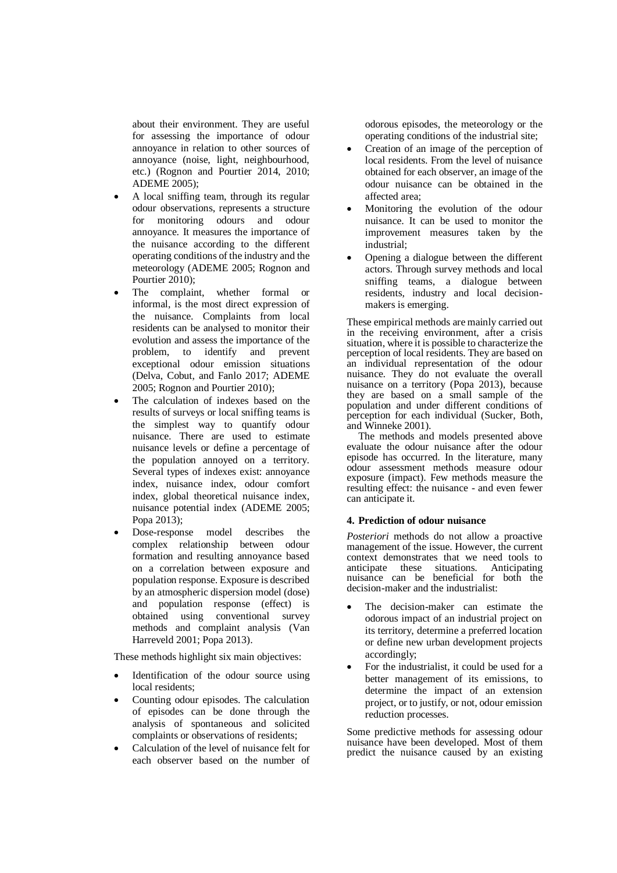about their environment. They are useful for assessing the importance of odour annoyance in relation to other sources of annoyance (noise, light, neighbourhood, etc.) (Rognon and Pourtier 2014, 2010; ADEME 2005);

- A local sniffing team, through its regular odour observations, represents a structure for monitoring odours and odour annoyance. It measures the importance of the nuisance according to the different operating conditions of the industry and the meteorology (ADEME 2005; Rognon and Pourtier 2010):
- The complaint, whether formal or informal, is the most direct expression of the nuisance. Complaints from local residents can be analysed to monitor their evolution and assess the importance of the problem, to identify and prevent exceptional odour emission situations (Delva, Cobut, and Fanlo 2017; ADEME 2005; Rognon and Pourtier 2010);
- The calculation of indexes based on the results of surveys or local sniffing teams is the simplest way to quantify odour nuisance. There are used to estimate nuisance levels or define a percentage of the population annoyed on a territory. Several types of indexes exist: annoyance index, nuisance index, odour comfort index, global theoretical nuisance index, nuisance potential index (ADEME 2005; Popa 2013);
- Dose-response model describes the complex relationship between odour formation and resulting annoyance based on a correlation between exposure and population response. Exposure is described by an atmospheric dispersion model (dose) and population response (effect) is obtained using conventional survey methods and complaint analysis (Van Harreveld 2001; Popa 2013).

These methods highlight six main objectives:

- Identification of the odour source using local residents;
- Counting odour episodes. The calculation of episodes can be done through the analysis of spontaneous and solicited complaints or observations of residents;
- Calculation of the level of nuisance felt for each observer based on the number of

odorous episodes, the meteorology or the operating conditions of the industrial site;

- Creation of an image of the perception of local residents. From the level of nuisance obtained for each observer, an image of the odour nuisance can be obtained in the affected area;
- Monitoring the evolution of the odour nuisance. It can be used to monitor the improvement measures taken by the industrial;
- Opening a dialogue between the different actors. Through survey methods and local sniffing teams, a dialogue between residents, industry and local decisionmakers is emerging.

These empirical methods are mainly carried out in the receiving environment, after a crisis situation, where it is possible to characterize the perception of local residents. They are based on an individual representation of the odour nuisance. They do not evaluate the overall nuisance on a territory (Popa 2013), because they are based on a small sample of the population and under different conditions of perception for each individual (Sucker, Both, and Winneke 2001).

The methods and models presented above evaluate the odour nuisance after the odour episode has occurred. In the literature, many odour assessment methods measure odour exposure (impact). Few methods measure the resulting effect: the nuisance - and even fewer can anticipate it.

#### **4. Prediction of odour nuisance**

*Posteriori* methods do not allow a proactive management of the issue. However, the current context demonstrates that we need tools to anticipate these situations. Anticipating nuisance can be beneficial for both the decision-maker and the industrialist:

- The decision-maker can estimate the odorous impact of an industrial project on its territory, determine a preferred location or define new urban development projects accordingly;
- For the industrialist, it could be used for a better management of its emissions, to determine the impact of an extension project, or to justify, or not, odour emission reduction processes.

Some predictive methods for assessing odour nuisance have been developed. Most of them predict the nuisance caused by an existing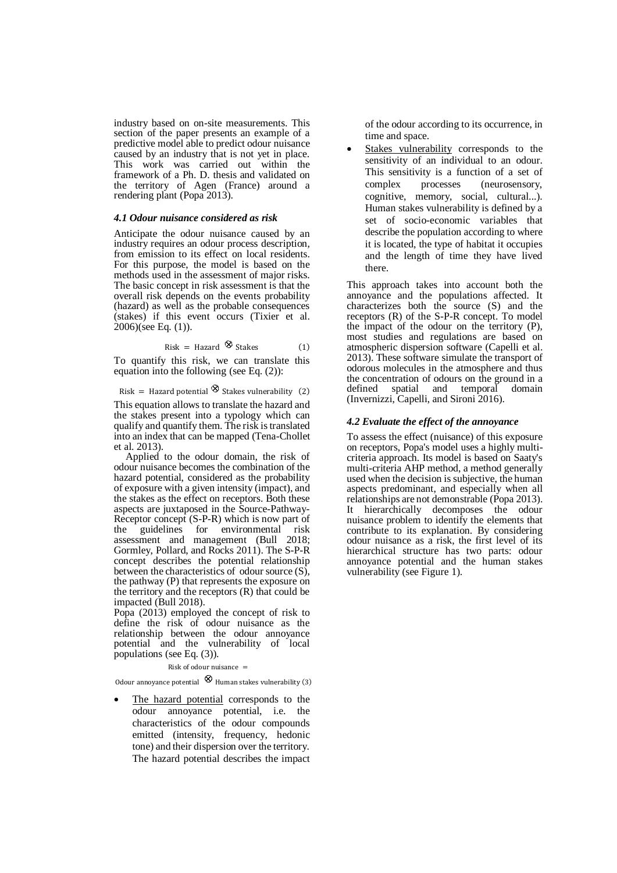industry based on on-site measurements. This section of the paper presents an example of a predictive model able to predict odour nuisance caused by an industry that is not yet in place. This work was carried out within the framework of a Ph. D. thesis and validated on the territory of Agen (France) around a rendering plant (Popa 2013).

#### *4.1 Odour nuisance considered as risk*

Anticipate the odour nuisance caused by an industry requires an odour process description, from emission to its effect on local residents. For this purpose, the model is based on the methods used in the assessment of major risks. The basic concept in risk assessment is that the overall risk depends on the events probability (hazard) as well as the probable consequences (stakes) if this event occurs (Tixier et al. 2006)(see Eq. (1)).

$$
Risk = Hazard \otimes States \qquad (1)
$$

To quantify this risk, we can translate this equation into the following (see Eq. (2)):

Risk = Hazard potential  $\otimes$  Stakes vulnerability (2)

This equation allows to translate the hazard and the stakes present into a typology which can qualify and quantify them. The risk istranslated into an index that can be mapped (Tena-Chollet et al. 2013).

Applied to the odour domain, the risk of odour nuisance becomes the combination of the hazard potential, considered as the probability of exposure with a given intensity (impact), and the stakes as the effect on receptors. Both these aspects are juxtaposed in the Source-Pathway-Receptor concept (S-P-R) which is now part of the guidelines for environmental risk assessment and management (Bull 2018; Gormley, Pollard, and Rocks 2011). The S-P-R concept describes the potential relationship between the characteristics of odour source (S), the pathway (P) that represents the exposure on the territory and the receptors (R) that could be impacted (Bull 2018).

Popa (2013) employed the concept of risk to define the risk of odour nuisance as the relationship between the odour annoyance potential and the vulnerability of local populations (see Eq. (3)).

Risk of odour nuisance  $=$ 

Odour annoyance potential  $\otimes$  Human stakes vulnerability (3)

 The hazard potential corresponds to the odour annoyance potential, i.e. the characteristics of the odour compounds emitted (intensity, frequency, hedonic tone) and their dispersion over the territory. The hazard potential describes the impact of the odour according to its occurrence, in time and space.

 Stakes vulnerability corresponds to the sensitivity of an individual to an odour. This sensitivity is a function of a set of complex processes (neurosensory, cognitive, memory, social, cultural...). Human stakes vulnerability is defined by a set of socio-economic variables that describe the population according to where it is located, the type of habitat it occupies and the length of time they have lived there.

This approach takes into account both the annoyance and the populations affected. It characterizes both the source (S) and the receptors (R) of the S-P-R concept. To model the impact of the odour on the territory (P), most studies and regulations are based on atmospheric dispersion software (Capelli et al. 2013). These software simulate the transport of odorous molecules in the atmosphere and thus the concentration of odours on the ground in a defined spatial and temporal domain (Invernizzi, Capelli, and Sironi 2016).

#### *4.2 Evaluate the effect of the annoyance*

To assess the effect (nuisance) of this exposure on receptors, Popa's model uses a highly multicriteria approach. Its model is based on Saaty's multi-criteria AHP method, a method generally used when the decision is subjective, the human aspects predominant, and especially when all relationships are not demonstrable (Popa 2013). It hierarchically decomposes the odour nuisance problem to identify the elements that contribute to its explanation. By considering odour nuisance as a risk, the first level of its hierarchical structure has two parts: odour annoyance potential and the human stakes vulnerability (see Figure 1).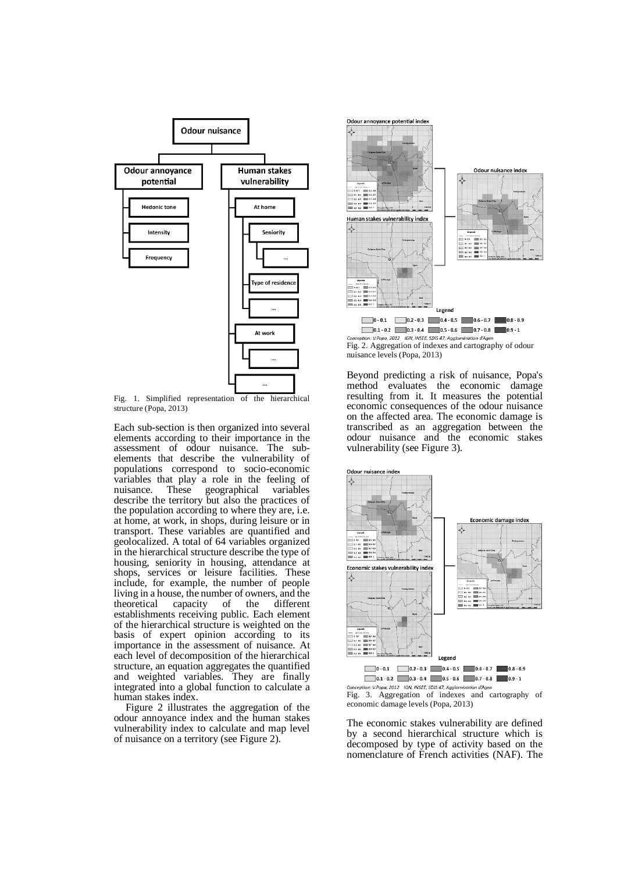

Fig. 1. Simplified representation of the hierarchical structure (Popa, 2013)

Each sub-section is then organized into several elements according to their importance in the assessment of odour nuisance. The subelements that describe the vulnerability of populations correspond to socio-economic variables that play a role in the feeling of nuisance. These geographical variables nuisance. These geographical variables describe the territory but also the practices of the population according to where they are, i.e. at home, at work, in shops, during leisure or in transport. These variables are quantified and geolocalized. A total of 64 variables organized in the hierarchical structure describe the type of housing, seniority in housing, attendance at shops, services or leisure facilities. These include, for example, the number of people living in a house, the number of owners, and the theoretical capacity of the different establishments receiving public. Each element of the hierarchical structure is weighted on the basis of expert opinion according to its importance in the assessment of nuisance. At each level of decomposition of the hierarchical structure, an equation aggregates the quantified and weighted variables. They are finally integrated into a global function to calculate a human stakes index.

Figure 2 illustrates the aggregation of the odour annoyance index and the human stakes vulnerability index to calculate and map level of nuisance on a territory (see Figure 2).



Fig. 2. Aggregation of indexes and cartography of odour nuisance levels (Popa, 2013)

Beyond predicting a risk of nuisance, Popa's method evaluates the economic damage resulting from it. It measures the potential economic consequences of the odour nuisance on the affected area. The economic damage is transcribed as an aggregation between the odour nuisance and the economic stakes vulnerability (see Figure 3).



Conception: V.Popa, 2012 IGN, INSEE, SDIS 47, Agglomération d'Agen<br>Fig. 3. Aggregation of indexes and cartography of economic damage levels (Popa, 2013)

The economic stakes vulnerability are defined by a second hierarchical structure which is decomposed by type of activity based on the nomenclature of French activities (NAF). The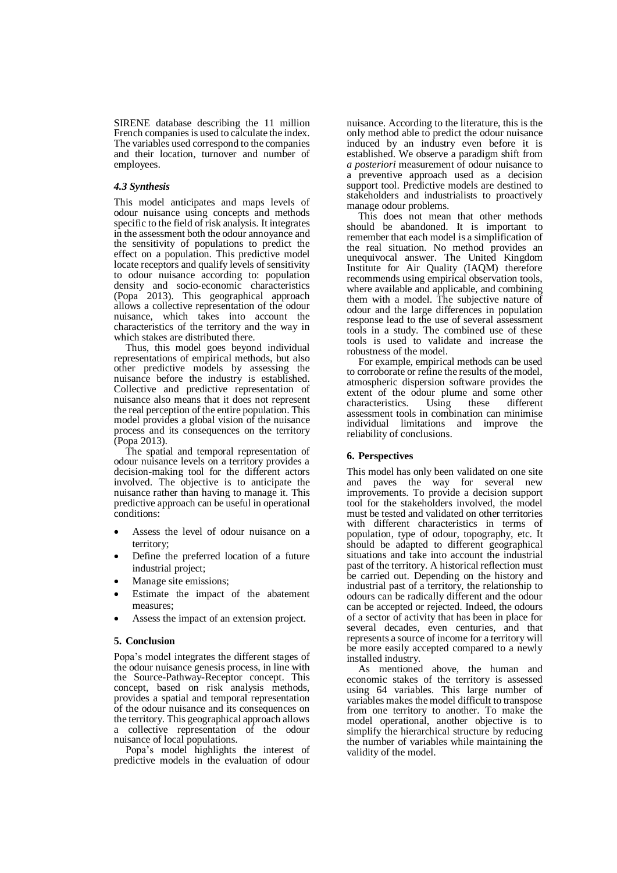SIRENE database describing the 11 million French companies is used to calculate the index. The variables used correspond to the companies and their location, turnover and number of employees.

#### *4.3 Synthesis*

This model anticipates and maps levels of odour nuisance using concepts and methods specific to the field of risk analysis. It integrates in the assessment both the odour annoyance and the sensitivity of populations to predict the effect on a population. This predictive model locate receptors and qualify levels of sensitivity to odour nuisance according to: population density and socio-economic characteristics (Popa 2013). This geographical approach allows a collective representation of the odour nuisance, which takes into account the characteristics of the territory and the way in which stakes are distributed there.

Thus, this model goes beyond individual representations of empirical methods, but also other predictive models by assessing the nuisance before the industry is established. Collective and predictive representation of nuisance also means that it does not represent the real perception of the entire population. This model provides a global vision of the nuisance process and its consequences on the territory (Popa 2013).

The spatial and temporal representation of odour nuisance levels on a territory provides a decision-making tool for the different actors involved. The objective is to anticipate the nuisance rather than having to manage it. This predictive approach can be useful in operational conditions:

- Assess the level of odour nuisance on a territory;
- Define the preferred location of a future industrial project;
- Manage site emissions;
- Estimate the impact of the abatement measures;
- Assess the impact of an extension project.

#### **5. Conclusion**

Popa's model integrates the different stages of the odour nuisance genesis process, in line with the Source-Pathway-Receptor concept. This concept, based on risk analysis methods, provides a spatial and temporal representation of the odour nuisance and its consequences on the territory. This geographical approach allows a collective representation of the odour nuisance of local populations.

Popa's model highlights the interest of predictive models in the evaluation of odour

nuisance. According to the literature, this is the only method able to predict the odour nuisance induced by an industry even before it is established. We observe a paradigm shift from *a posteriori* measurement of odour nuisance to a preventive approach used as a decision support tool. Predictive models are destined to stakeholders and industrialists to proactively manage odour problems.

This does not mean that other methods should be abandoned. It is important to remember that each model is a simplification of the real situation. No method provides an unequivocal answer. The United Kingdom Institute for Air Quality (IAQM) therefore recommends using empirical observation tools, where available and applicable, and combining them with a model. The subjective nature of odour and the large differences in population response lead to the use of several assessment tools in a study. The combined use of these tools is used to validate and increase the robustness of the model.

For example, empirical methods can be used to corroborate or refine the results of the model, atmospheric dispersion software provides the extent of the odour plume and some other characteristics. Using these different assessment tools in combination can minimise individual limitations and improve the reliability of conclusions.

#### **6. Perspectives**

This model has only been validated on one site and paves the way for several new improvements. To provide a decision support tool for the stakeholders involved, the model must be tested and validated on other territories with different characteristics in terms of population, type of odour, topography, etc. It should be adapted to different geographical situations and take into account the industrial past of the territory. A historical reflection must be carried out. Depending on the history and industrial past of a territory, the relationship to odours can be radically different and the odour can be accepted or rejected. Indeed, the odours of a sector of activity that has been in place for several decades, even centuries, and that represents a source of income for a territory will be more easily accepted compared to a newly installed industry.

As mentioned above, the human and economic stakes of the territory is assessed using 64 variables. This large number of variables makes the model difficult to transpose from one territory to another. To make the model operational, another objective is to simplify the hierarchical structure by reducing the number of variables while maintaining the validity of the model.